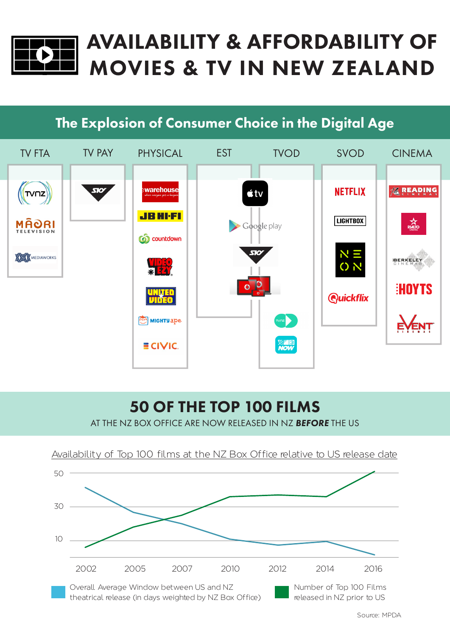

# AVAILABILITY & AFFORDABILITY OF MOVIES & TV IN NEW ZEALAND

## The Explosion of Consumer Choice in the Digital Age



# 50 OF THE TOP 100 FILMS

AT THE NZ BOX OFFICE ARE NOW RELEASED IN NZ *BEFORE* THE US **AVAILABILITY OF TAP 100 GLOBAL FILMS AT AUSTRALIAN BOX OF TAP 112 00**